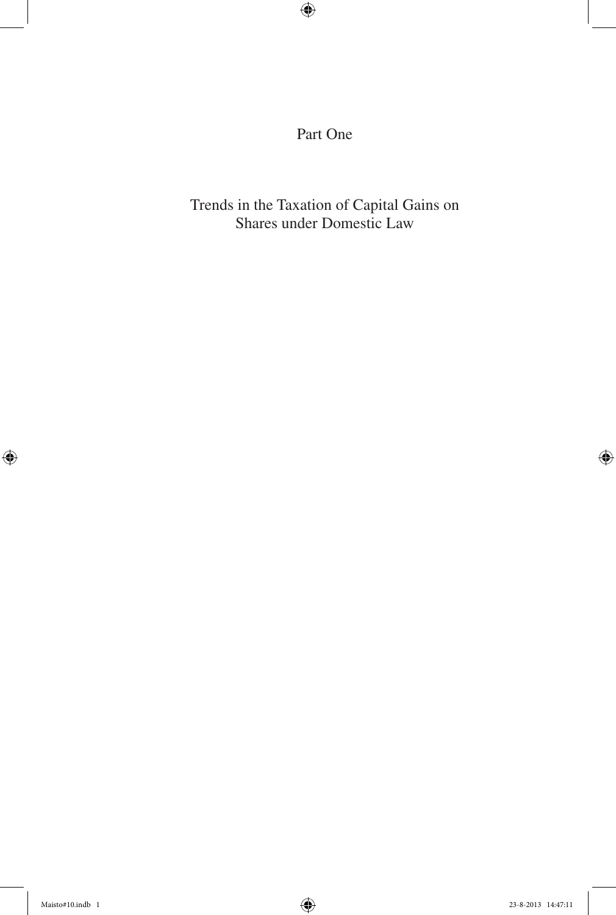Part One

Trends in the Taxation of Capital Gains on Shares under Domestic Law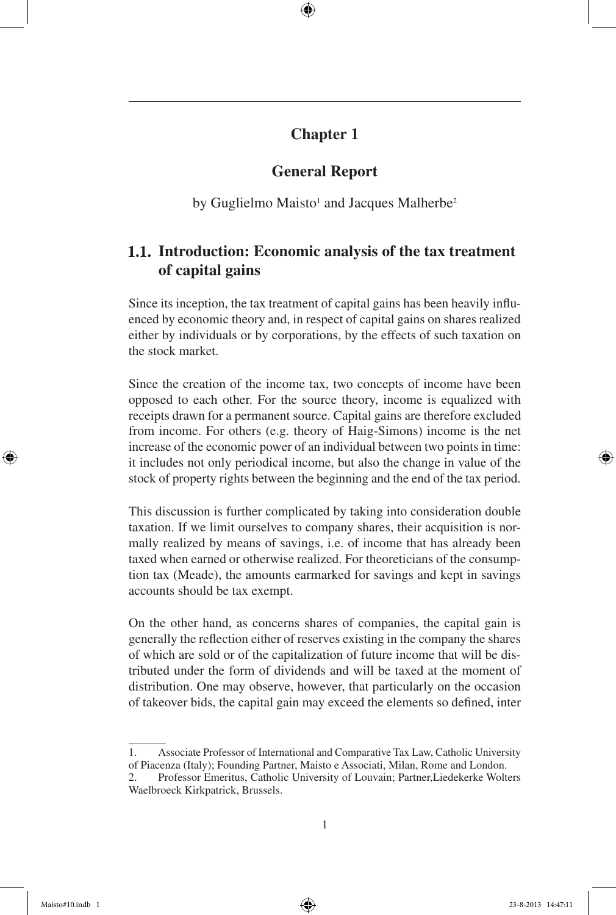# **Chapter 1**

# **General Report**

by Guglielmo Maisto<sup>1</sup> and Jacques Malherbe<sup>2</sup>

# **Introduction: Economic analysis of the tax treatment of capital gains**

Since its inception, the tax treatment of capital gains has been heavily influenced by economic theory and, in respect of capital gains on shares realized either by individuals or by corporations, by the effects of such taxation on the stock market.

Since the creation of the income tax, two concepts of income have been opposed to each other. For the source theory, income is equalized with receipts drawn for a permanent source. Capital gains are therefore excluded from income. For others (e.g. theory of Haig-Simons) income is the net increase of the economic power of an individual between two points in time: it includes not only periodical income, but also the change in value of the stock of property rights between the beginning and the end of the tax period.

This discussion is further complicated by taking into consideration double taxation. If we limit ourselves to company shares, their acquisition is normally realized by means of savings, i.e. of income that has already been taxed when earned or otherwise realized. For theoreticians of the consumption tax (Meade), the amounts earmarked for savings and kept in savings accounts should be tax exempt.

On the other hand, as concerns shares of companies, the capital gain is generally the reflection either of reserves existing in the company the shares of which are sold or of the capitalization of future income that will be distributed under the form of dividends and will be taxed at the moment of distribution. One may observe, however, that particularly on the occasion of takeover bids, the capital gain may exceed the elements so defined, inter

<sup>1.</sup> Associate Professor of International and Comparative Tax Law, Catholic University of Piacenza (Italy); Founding Partner, Maisto e Associati, Milan, Rome and London.

<sup>2.</sup> Professor Emeritus, Catholic University of Louvain; Partner,Liedekerke Wolters Waelbroeck Kirkpatrick, Brussels.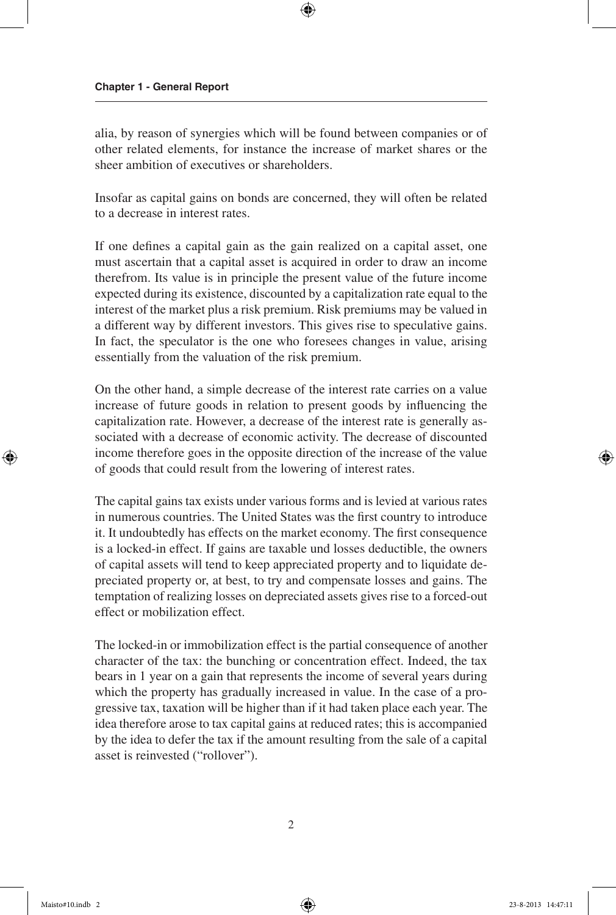alia, by reason of synergies which will be found between companies or of other related elements, for instance the increase of market shares or the sheer ambition of executives or shareholders.

Insofar as capital gains on bonds are concerned, they will often be related to a decrease in interest rates.

If one defines a capital gain as the gain realized on a capital asset, one must ascertain that a capital asset is acquired in order to draw an income therefrom. Its value is in principle the present value of the future income expected during its existence, discounted by a capitalization rate equal to the interest of the market plus a risk premium. Risk premiums may be valued in a different way by different investors. This gives rise to speculative gains. In fact, the speculator is the one who foresees changes in value, arising essentially from the valuation of the risk premium.

On the other hand, a simple decrease of the interest rate carries on a value increase of future goods in relation to present goods by influencing the capitalization rate. However, a decrease of the interest rate is generally associated with a decrease of economic activity. The decrease of discounted income therefore goes in the opposite direction of the increase of the value of goods that could result from the lowering of interest rates.

The capital gains tax exists under various forms and is levied at various rates in numerous countries. The United States was the first country to introduce it. It undoubtedly has effects on the market economy. The first consequence is a locked-in effect. If gains are taxable und losses deductible, the owners of capital assets will tend to keep appreciated property and to liquidate depreciated property or, at best, to try and compensate losses and gains. The temptation of realizing losses on depreciated assets gives rise to a forced-out effect or mobilization effect.

The locked-in or immobilization effect is the partial consequence of another character of the tax: the bunching or concentration effect. Indeed, the tax bears in 1 year on a gain that represents the income of several years during which the property has gradually increased in value. In the case of a progressive tax, taxation will be higher than if it had taken place each year. The idea therefore arose to tax capital gains at reduced rates; this is accompanied by the idea to defer the tax if the amount resulting from the sale of a capital asset is reinvested ("rollover").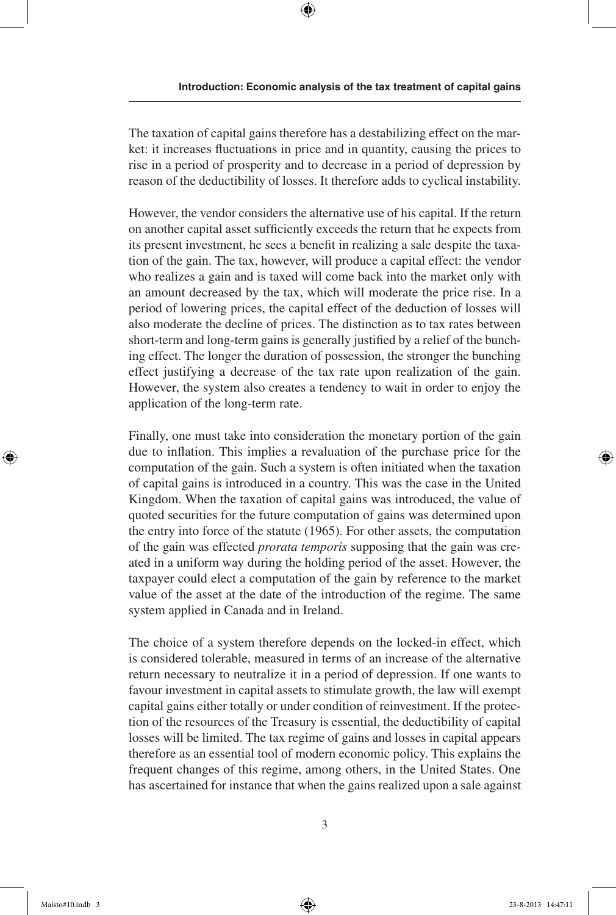The taxation of capital gains therefore has a destabilizing effect on the market: it increases fluctuations in price and in quantity, causing the prices to rise in a period of prosperity and to decrease in a period of depression by reason of the deductibility of losses. It therefore adds to cyclical instability.

However, the vendor considers the alternative use of his capital. If the return on another capital asset sufficiently exceeds the return that he expects from its present investment, he sees a benefit in realizing a sale despite the taxation of the gain. The tax, however, will produce a capital effect: the vendor who realizes a gain and is taxed will come back into the market only with an amount decreased by the tax, which will moderate the price rise. In a period of lowering prices, the capital effect of the deduction of losses will also moderate the decline of prices. The distinction as to tax rates between short-term and long-term gains is generally justified by a relief of the bunching effect. The longer the duration of possession, the stronger the bunching effect justifying a decrease of the tax rate upon realization of the gain. However, the system also creates a tendency to wait in order to enjoy the application of the long-term rate.

Finally, one must take into consideration the monetary portion of the gain due to inflation. This implies a revaluation of the purchase price for the computation of the gain. Such a system is often initiated when the taxation of capital gains is introduced in a country. This was the case in the United Kingdom. When the taxation of capital gains was introduced, the value of quoted securities for the future computation of gains was determined upon the entry into force of the statute (1965). For other assets, the computation of the gain was effected *prorata temporis* supposing that the gain was created in a uniform way during the holding period of the asset. However, the taxpayer could elect a computation of the gain by reference to the market value of the asset at the date of the introduction of the regime. The same system applied in Canada and in Ireland.

The choice of a system therefore depends on the locked-in effect, which is considered tolerable, measured in terms of an increase of the alternative return necessary to neutralize it in a period of depression. If one wants to favour investment in capital assets to stimulate growth, the law will exempt capital gains either totally or under condition of reinvestment. If the protection of the resources of the Treasury is essential, the deductibility of capital losses will be limited. The tax regime of gains and losses in capital appears therefore as an essential tool of modern economic policy. This explains the frequent changes of this regime, among others, in the United States. One has ascertained for instance that when the gains realized upon a sale against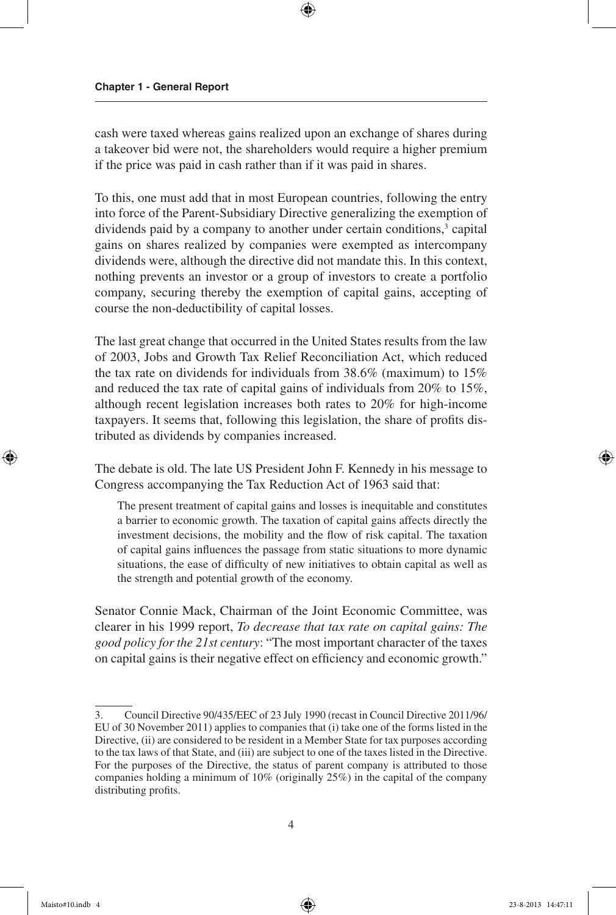cash were taxed whereas gains realized upon an exchange of shares during a takeover bid were not, the shareholders would require a higher premium if the price was paid in cash rather than if it was paid in shares.

To this, one must add that in most European countries, following the entry into force of the Parent-Subsidiary Directive generalizing the exemption of dividends paid by a company to another under certain conditions,<sup>3</sup> capital gains on shares realized by companies were exempted as intercompany dividends were, although the directive did not mandate this. In this context, nothing prevents an investor or a group of investors to create a portfolio company, securing thereby the exemption of capital gains, accepting of course the non-deductibility of capital losses.

The last great change that occurred in the United States results from the law of 2003, Jobs and Growth Tax Relief Reconciliation Act, which reduced the tax rate on dividends for individuals from 38.6% (maximum) to 15% and reduced the tax rate of capital gains of individuals from 20% to 15%, although recent legislation increases both rates to 20% for high-income taxpayers. It seems that, following this legislation, the share of profits distributed as dividends by companies increased.

The debate is old. The late US President John F. Kennedy in his message to Congress accompanying the Tax Reduction Act of 1963 said that:

The present treatment of capital gains and losses is inequitable and constitutes a barrier to economic growth. The taxation of capital gains affects directly the investment decisions, the mobility and the flow of risk capital. The taxation of capital gains influences the passage from static situations to more dynamic situations, the ease of difficulty of new initiatives to obtain capital as well as the strength and potential growth of the economy.

Senator Connie Mack, Chairman of the Joint Economic Committee, was clearer in his 1999 report, *To decrease that tax rate on capital gains: The good policy for the 21st century*: "The most important character of the taxes on capital gains is their negative effect on efficiency and economic growth."

<sup>3.</sup> Council Directive 90/435/EEC of 23 July 1990 (recast in Council Directive 2011/96/ EU of 30 November 2011) applies to companies that (i) take one of the forms listed in the Directive, (ii) are considered to be resident in a Member State for tax purposes according to the tax laws of that State, and (iii) are subject to one of the taxes listed in the Directive. For the purposes of the Directive, the status of parent company is attributed to those companies holding a minimum of 10% (originally 25%) in the capital of the company distributing profits.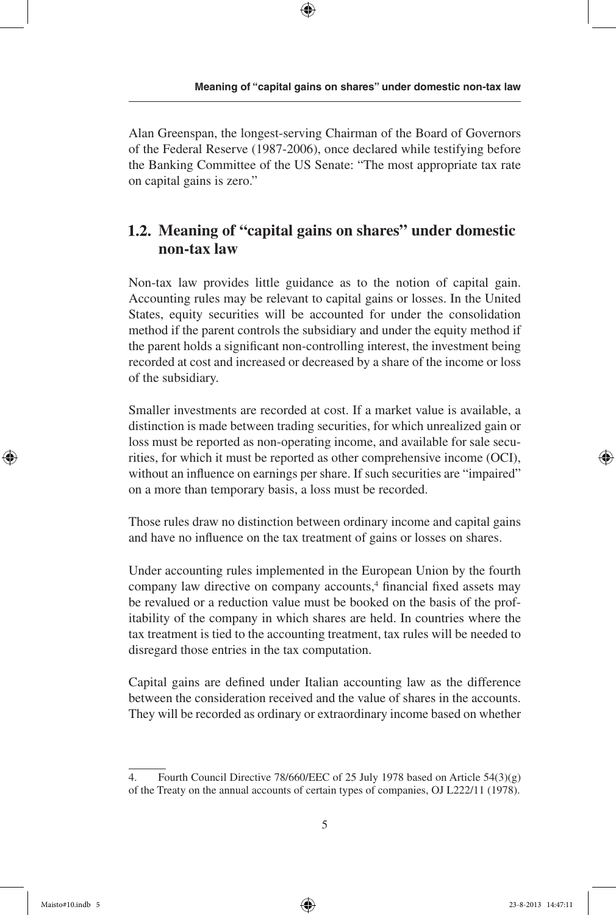Alan Greenspan, the longest-serving Chairman of the Board of Governors of the Federal Reserve (1987-2006), once declared while testifying before the Banking Committee of the US Senate: "The most appropriate tax rate on capital gains is zero."

# **Meaning of "capital gains on shares" under domestic non-tax law**

Non-tax law provides little guidance as to the notion of capital gain. Accounting rules may be relevant to capital gains or losses. In the United States, equity securities will be accounted for under the consolidation method if the parent controls the subsidiary and under the equity method if the parent holds a significant non-controlling interest, the investment being recorded at cost and increased or decreased by a share of the income or loss of the subsidiary.

Smaller investments are recorded at cost. If a market value is available, a distinction is made between trading securities, for which unrealized gain or loss must be reported as non-operating income, and available for sale securities, for which it must be reported as other comprehensive income (OCI), without an influence on earnings per share. If such securities are "impaired" on a more than temporary basis, a loss must be recorded.

Those rules draw no distinction between ordinary income and capital gains and have no influence on the tax treatment of gains or losses on shares.

Under accounting rules implemented in the European Union by the fourth company law directive on company accounts,<sup>4</sup> financial fixed assets may be revalued or a reduction value must be booked on the basis of the profitability of the company in which shares are held. In countries where the tax treatment is tied to the accounting treatment, tax rules will be needed to disregard those entries in the tax computation.

Capital gains are defined under Italian accounting law as the difference between the consideration received and the value of shares in the accounts. They will be recorded as ordinary or extraordinary income based on whether

<sup>4.</sup> Fourth Council Directive 78/660/EEC of 25 July 1978 based on Article 54(3)(g) of the Treaty on the annual accounts of certain types of companies, OJ L222/11 (1978).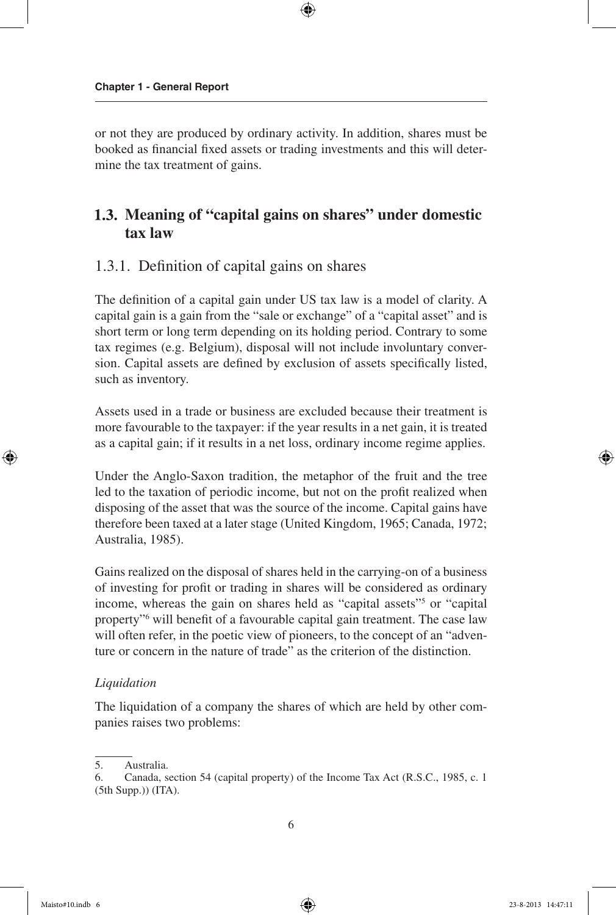or not they are produced by ordinary activity. In addition, shares must be booked as financial fixed assets or trading investments and this will determine the tax treatment of gains.

## **Meaning of "capital gains on shares" under domestic tax law**

## 1.3.1. Definition of capital gains on shares

The definition of a capital gain under US tax law is a model of clarity. A capital gain is a gain from the "sale or exchange" of a "capital asset" and is short term or long term depending on its holding period. Contrary to some tax regimes (e.g. Belgium), disposal will not include involuntary conversion. Capital assets are defined by exclusion of assets specifically listed, such as inventory.

Assets used in a trade or business are excluded because their treatment is more favourable to the taxpayer: if the year results in a net gain, it is treated as a capital gain; if it results in a net loss, ordinary income regime applies.

Under the Anglo-Saxon tradition, the metaphor of the fruit and the tree led to the taxation of periodic income, but not on the profit realized when disposing of the asset that was the source of the income. Capital gains have therefore been taxed at a later stage (United Kingdom, 1965; Canada, 1972; Australia, 1985).

Gains realized on the disposal of shares held in the carrying-on of a business of investing for profit or trading in shares will be considered as ordinary income, whereas the gain on shares held as "capital assets"<sup>5</sup> or "capital property"6 will benefit of a favourable capital gain treatment. The case law will often refer, in the poetic view of pioneers, to the concept of an "adventure or concern in the nature of trade" as the criterion of the distinction.

#### *Liquidation*

The liquidation of a company the shares of which are held by other companies raises two problems:

<sup>5.</sup> Australia.

<sup>6.</sup> Canada, section 54 (capital property) of the Income Tax Act (R.S.C., 1985, c. 1 (5th Supp.)) (ITA).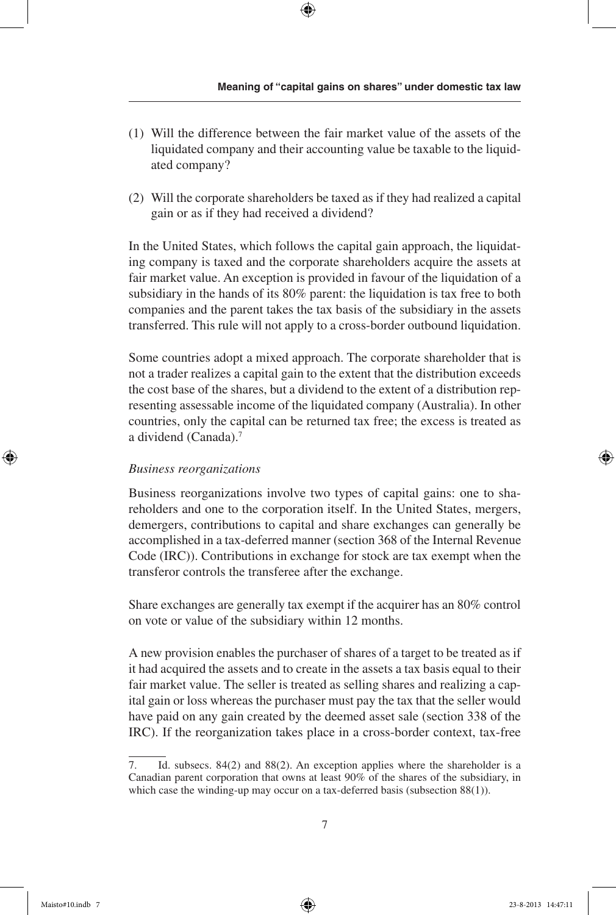- (1) Will the difference between the fair market value of the assets of the liquidated company and their accounting value be taxable to the liquidated company?
- (2) Will the corporate shareholders be taxed as if they had realized a capital gain or as if they had received a dividend?

In the United States, which follows the capital gain approach, the liquidating company is taxed and the corporate shareholders acquire the assets at fair market value. An exception is provided in favour of the liquidation of a subsidiary in the hands of its 80% parent: the liquidation is tax free to both companies and the parent takes the tax basis of the subsidiary in the assets transferred. This rule will not apply to a cross-border outbound liquidation.

Some countries adopt a mixed approach. The corporate shareholder that is not a trader realizes a capital gain to the extent that the distribution exceeds the cost base of the shares, but a dividend to the extent of a distribution representing assessable income of the liquidated company (Australia). In other countries, only the capital can be returned tax free; the excess is treated as a dividend (Canada).7

### *Business reorganizations*

Business reorganizations involve two types of capital gains: one to shareholders and one to the corporation itself. In the United States, mergers, demergers, contributions to capital and share exchanges can generally be accomplished in a tax-deferred manner (section 368 of the Internal Revenue Code (IRC)). Contributions in exchange for stock are tax exempt when the transferor controls the transferee after the exchange.

Share exchanges are generally tax exempt if the acquirer has an 80% control on vote or value of the subsidiary within 12 months.

A new provision enables the purchaser of shares of a target to be treated as if it had acquired the assets and to create in the assets a tax basis equal to their fair market value. The seller is treated as selling shares and realizing a capital gain or loss whereas the purchaser must pay the tax that the seller would have paid on any gain created by the deemed asset sale (section 338 of the IRC). If the reorganization takes place in a cross-border context, tax-free

<sup>7.</sup> Id. subsecs. 84(2) and 88(2). An exception applies where the shareholder is a Canadian parent corporation that owns at least 90% of the shares of the subsidiary, in which case the winding-up may occur on a tax-deferred basis (subsection 88(1)).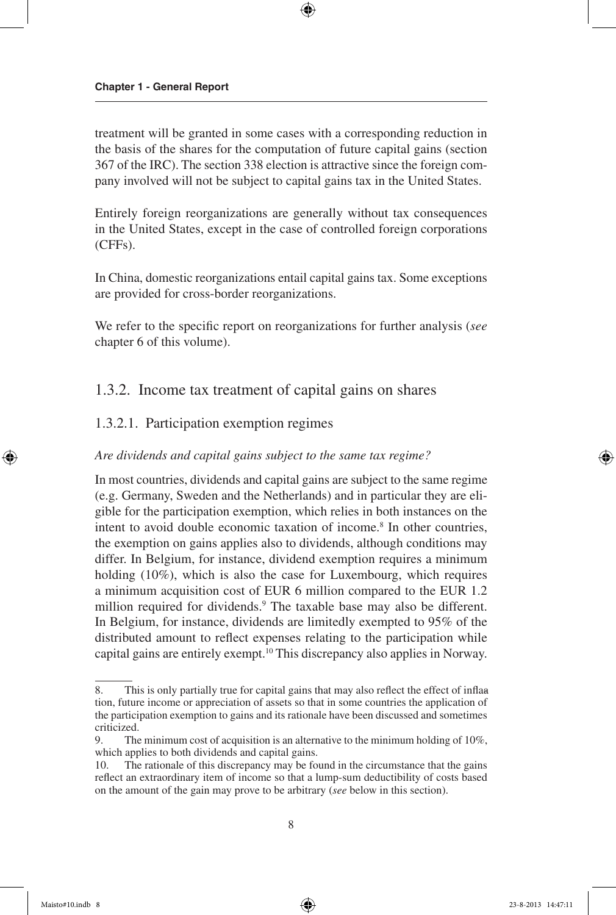treatment will be granted in some cases with a corresponding reduction in the basis of the shares for the computation of future capital gains (section 367 of the IRC). The section 338 election is attractive since the foreign company involved will not be subject to capital gains tax in the United States.

Entirely foreign reorganizations are generally without tax consequences in the United States, except in the case of controlled foreign corporations (CFFs).

In China, domestic reorganizations entail capital gains tax. Some exceptions are provided for cross-border reorganizations.

We refer to the specific report on reorganizations for further analysis (*see* chapter 6 of this volume).

## 1.3.2. Income tax treatment of capital gains on shares

#### 1.3.2.1. Participation exemption regimes

#### *Are dividends and capital gains subject to the same tax regime?*

In most countries, dividends and capital gains are subject to the same regime (e.g. Germany, Sweden and the Netherlands) and in particular they are eligible for the participation exemption, which relies in both instances on the intent to avoid double economic taxation of income.8 In other countries, the exemption on gains applies also to dividends, although conditions may differ. In Belgium, for instance, dividend exemption requires a minimum holding (10%), which is also the case for Luxembourg, which requires a minimum acquisition cost of EUR 6 million compared to the EUR 1.2 million required for dividends.<sup>9</sup> The taxable base may also be different. In Belgium, for instance, dividends are limitedly exempted to 95% of the distributed amount to reflect expenses relating to the participation while capital gains are entirely exempt.10 This discrepancy also applies in Norway.

<sup>8.</sup> This is only partially true for capital gains that may also reflect the effect of inflaa tion, future income or appreciation of assets so that in some countries the application of the participation exemption to gains and its rationale have been discussed and sometimes criticized.

<sup>9.</sup> The minimum cost of acquisition is an alternative to the minimum holding of 10%, which applies to both dividends and capital gains.

<sup>10.</sup> The rationale of this discrepancy may be found in the circumstance that the gains reflect an extraordinary item of income so that a lump-sum deductibility of costs based on the amount of the gain may prove to be arbitrary (*see* below in this section).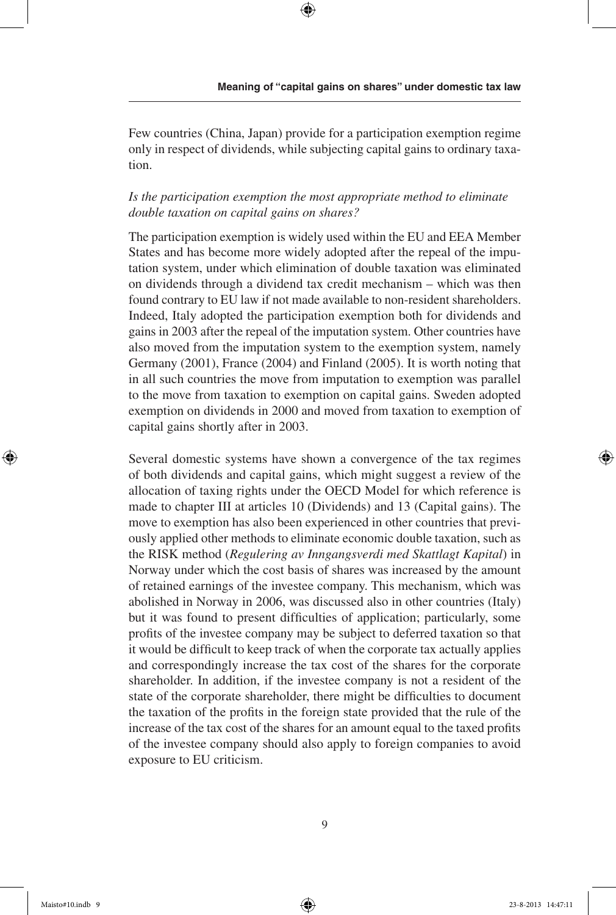Few countries (China, Japan) provide for a participation exemption regime only in respect of dividends, while subjecting capital gains to ordinary taxation.

### *Is the participation exemption the most appropriate method to eliminate double taxation on capital gains on shares?*

The participation exemption is widely used within the EU and EEA Member States and has become more widely adopted after the repeal of the imputation system, under which elimination of double taxation was eliminated on dividends through a dividend tax credit mechanism – which was then found contrary to EU law if not made available to non-resident shareholders. Indeed, Italy adopted the participation exemption both for dividends and gains in 2003 after the repeal of the imputation system. Other countries have also moved from the imputation system to the exemption system, namely Germany (2001), France (2004) and Finland (2005). It is worth noting that in all such countries the move from imputation to exemption was parallel to the move from taxation to exemption on capital gains. Sweden adopted exemption on dividends in 2000 and moved from taxation to exemption of capital gains shortly after in 2003.

Several domestic systems have shown a convergence of the tax regimes of both dividends and capital gains, which might suggest a review of the allocation of taxing rights under the OECD Model for which reference is made to chapter III at articles 10 (Dividends) and 13 (Capital gains). The move to exemption has also been experienced in other countries that previously applied other methods to eliminate economic double taxation, such as the RISK method (*Regulering av Inngangsverdi med Skattlagt Kapital*) in Norway under which the cost basis of shares was increased by the amount of retained earnings of the investee company. This mechanism, which was abolished in Norway in 2006, was discussed also in other countries (Italy) but it was found to present difficulties of application; particularly, some profits of the investee company may be subject to deferred taxation so that it would be difficult to keep track of when the corporate tax actually applies and correspondingly increase the tax cost of the shares for the corporate shareholder. In addition, if the investee company is not a resident of the state of the corporate shareholder, there might be difficulties to document the taxation of the profits in the foreign state provided that the rule of the increase of the tax cost of the shares for an amount equal to the taxed profits of the investee company should also apply to foreign companies to avoid exposure to EU criticism.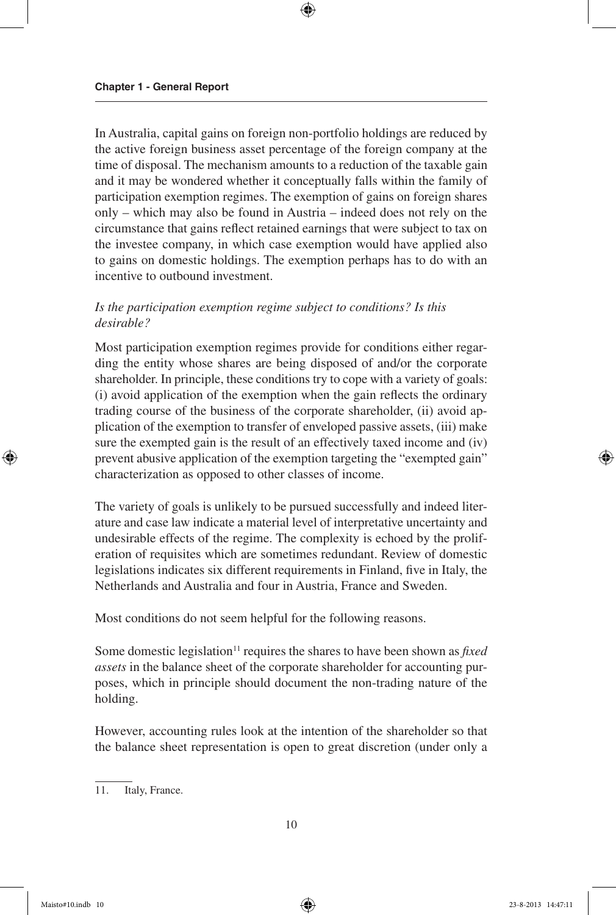In Australia, capital gains on foreign non-portfolio holdings are reduced by the active foreign business asset percentage of the foreign company at the time of disposal. The mechanism amounts to a reduction of the taxable gain and it may be wondered whether it conceptually falls within the family of participation exemption regimes. The exemption of gains on foreign shares only – which may also be found in Austria – indeed does not rely on the circumstance that gains reflect retained earnings that were subject to tax on the investee company, in which case exemption would have applied also to gains on domestic holdings. The exemption perhaps has to do with an incentive to outbound investment.

#### *Is the participation exemption regime subject to conditions? Is this desirable?*

Most participation exemption regimes provide for conditions either regarding the entity whose shares are being disposed of and/or the corporate shareholder. In principle, these conditions try to cope with a variety of goals: (i) avoid application of the exemption when the gain reflects the ordinary trading course of the business of the corporate shareholder, (ii) avoid application of the exemption to transfer of enveloped passive assets, (iii) make sure the exempted gain is the result of an effectively taxed income and (iv) prevent abusive application of the exemption targeting the "exempted gain" characterization as opposed to other classes of income.

The variety of goals is unlikely to be pursued successfully and indeed literature and case law indicate a material level of interpretative uncertainty and undesirable effects of the regime. The complexity is echoed by the proliferation of requisites which are sometimes redundant. Review of domestic legislations indicates six different requirements in Finland, five in Italy, the Netherlands and Australia and four in Austria, France and Sweden.

Most conditions do not seem helpful for the following reasons.

Some domestic legislation<sup>11</sup> requires the shares to have been shown as *fixed assets* in the balance sheet of the corporate shareholder for accounting purposes, which in principle should document the non-trading nature of the holding.

However, accounting rules look at the intention of the shareholder so that the balance sheet representation is open to great discretion (under only a

<sup>11.</sup> Italy, France.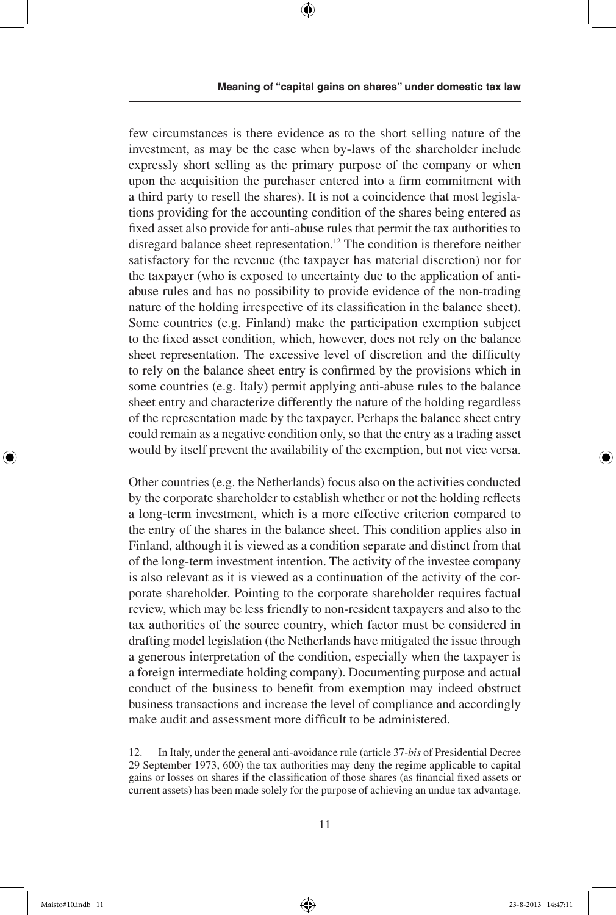few circumstances is there evidence as to the short selling nature of the investment, as may be the case when by-laws of the shareholder include expressly short selling as the primary purpose of the company or when upon the acquisition the purchaser entered into a firm commitment with a third party to resell the shares). It is not a coincidence that most legislations providing for the accounting condition of the shares being entered as fixed asset also provide for anti-abuse rules that permit the tax authorities to disregard balance sheet representation.12 The condition is therefore neither satisfactory for the revenue (the taxpayer has material discretion) nor for the taxpayer (who is exposed to uncertainty due to the application of antiabuse rules and has no possibility to provide evidence of the non-trading nature of the holding irrespective of its classification in the balance sheet). Some countries (e.g. Finland) make the participation exemption subject to the fixed asset condition, which, however, does not rely on the balance sheet representation. The excessive level of discretion and the difficulty to rely on the balance sheet entry is confirmed by the provisions which in some countries (e.g. Italy) permit applying anti-abuse rules to the balance sheet entry and characterize differently the nature of the holding regardless of the representation made by the taxpayer. Perhaps the balance sheet entry could remain as a negative condition only, so that the entry as a trading asset would by itself prevent the availability of the exemption, but not vice versa.

Other countries (e.g. the Netherlands) focus also on the activities conducted by the corporate shareholder to establish whether or not the holding reflects a long-term investment, which is a more effective criterion compared to the entry of the shares in the balance sheet. This condition applies also in Finland, although it is viewed as a condition separate and distinct from that of the long-term investment intention. The activity of the investee company is also relevant as it is viewed as a continuation of the activity of the corporate shareholder. Pointing to the corporate shareholder requires factual review, which may be less friendly to non-resident taxpayers and also to the tax authorities of the source country, which factor must be considered in drafting model legislation (the Netherlands have mitigated the issue through a generous interpretation of the condition, especially when the taxpayer is a foreign intermediate holding company). Documenting purpose and actual conduct of the business to benefit from exemption may indeed obstruct business transactions and increase the level of compliance and accordingly make audit and assessment more difficult to be administered.

<sup>12.</sup> In Italy, under the general anti-avoidance rule (article 37-*bis* of Presidential Decree 29 September 1973, 600) the tax authorities may deny the regime applicable to capital gains or losses on shares if the classification of those shares (as financial fixed assets or current assets) has been made solely for the purpose of achieving an undue tax advantage.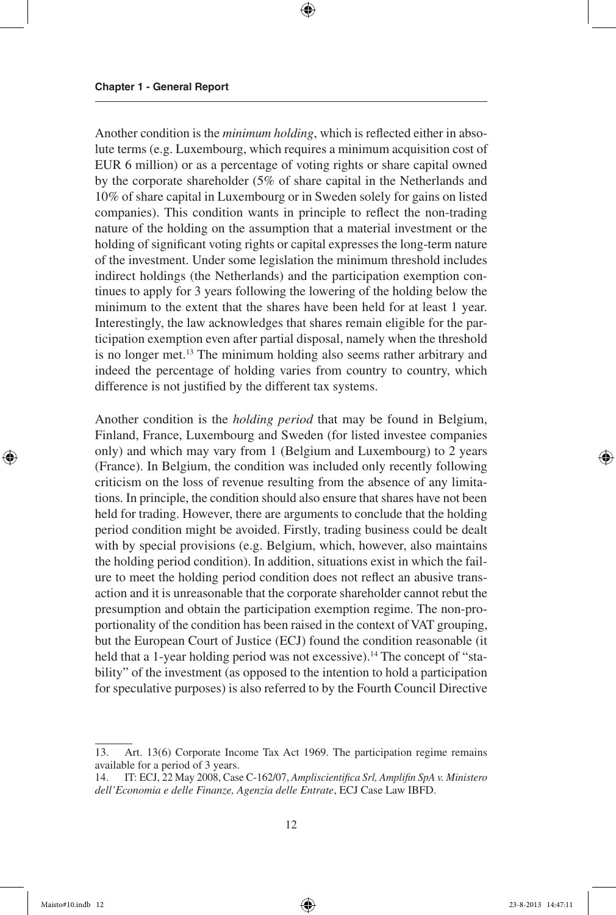Another condition is the *minimum holding*, which is reflected either in absolute terms (e.g. Luxembourg, which requires a minimum acquisition cost of EUR 6 million) or as a percentage of voting rights or share capital owned by the corporate shareholder (5% of share capital in the Netherlands and 10% of share capital in Luxembourg or in Sweden solely for gains on listed companies). This condition wants in principle to reflect the non-trading nature of the holding on the assumption that a material investment or the holding of significant voting rights or capital expresses the long-term nature of the investment. Under some legislation the minimum threshold includes indirect holdings (the Netherlands) and the participation exemption continues to apply for 3 years following the lowering of the holding below the minimum to the extent that the shares have been held for at least 1 year. Interestingly, the law acknowledges that shares remain eligible for the participation exemption even after partial disposal, namely when the threshold is no longer met.13 The minimum holding also seems rather arbitrary and indeed the percentage of holding varies from country to country, which difference is not justified by the different tax systems.

Another condition is the *holding period* that may be found in Belgium, Finland, France, Luxembourg and Sweden (for listed investee companies only) and which may vary from 1 (Belgium and Luxembourg) to 2 years (France). In Belgium, the condition was included only recently following criticism on the loss of revenue resulting from the absence of any limitations. In principle, the condition should also ensure that shares have not been held for trading. However, there are arguments to conclude that the holding period condition might be avoided. Firstly, trading business could be dealt with by special provisions (e.g. Belgium, which, however, also maintains the holding period condition). In addition, situations exist in which the failure to meet the holding period condition does not reflect an abusive transaction and it is unreasonable that the corporate shareholder cannot rebut the presumption and obtain the participation exemption regime. The non-proportionality of the condition has been raised in the context of VAT grouping, but the European Court of Justice (ECJ) found the condition reasonable (it held that a 1-year holding period was not excessive).<sup>14</sup> The concept of "stability" of the investment (as opposed to the intention to hold a participation for speculative purposes) is also referred to by the Fourth Council Directive

<sup>13.</sup> Art. 13(6) Corporate Income Tax Act 1969. The participation regime remains available for a period of 3 years.

<sup>14.</sup> IT: ECJ, 22 May 2008, Case C-162/07, *Ampliscientifica Srl, Amplifin SpA v. Ministero dell'Economia e delle Finanze, Agenzia delle Entrate*, ECJ Case Law IBFD.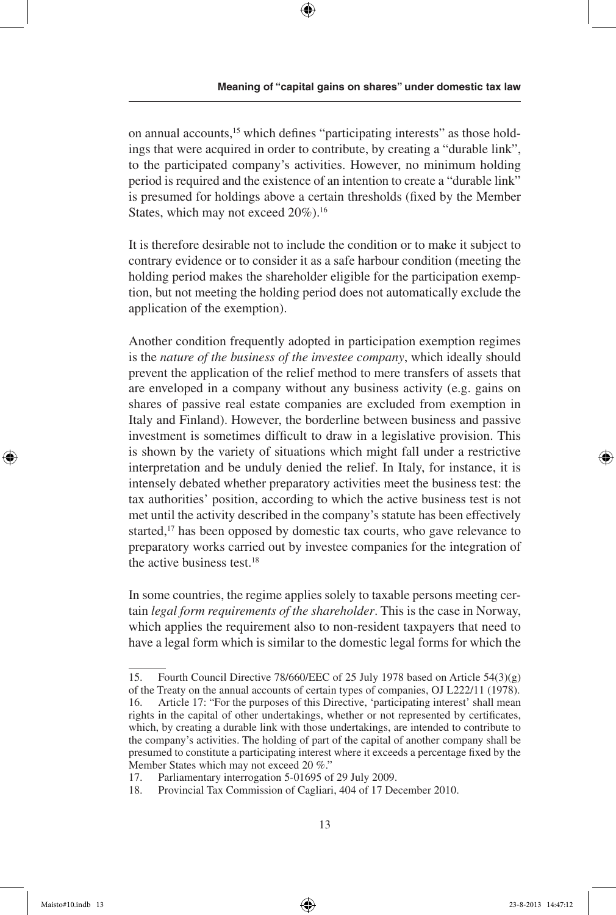on annual accounts,<sup>15</sup> which defines "participating interests" as those holdings that were acquired in order to contribute, by creating a "durable link", to the participated company's activities. However, no minimum holding period is required and the existence of an intention to create a "durable link" is presumed for holdings above a certain thresholds (fixed by the Member States, which may not exceed  $20\%$ ).<sup>16</sup>

It is therefore desirable not to include the condition or to make it subject to contrary evidence or to consider it as a safe harbour condition (meeting the holding period makes the shareholder eligible for the participation exemption, but not meeting the holding period does not automatically exclude the application of the exemption).

Another condition frequently adopted in participation exemption regimes is the *nature of the business of the investee company*, which ideally should prevent the application of the relief method to mere transfers of assets that are enveloped in a company without any business activity (e.g. gains on shares of passive real estate companies are excluded from exemption in Italy and Finland). However, the borderline between business and passive investment is sometimes difficult to draw in a legislative provision. This is shown by the variety of situations which might fall under a restrictive interpretation and be unduly denied the relief. In Italy, for instance, it is intensely debated whether preparatory activities meet the business test: the tax authorities' position, according to which the active business test is not met until the activity described in the company's statute has been effectively started,<sup>17</sup> has been opposed by domestic tax courts, who gave relevance to preparatory works carried out by investee companies for the integration of the active business test.<sup>18</sup>

In some countries, the regime applies solely to taxable persons meeting certain *legal form requirements of the shareholder*. This is the case in Norway, which applies the requirement also to non-resident taxpayers that need to have a legal form which is similar to the domestic legal forms for which the

<sup>15.</sup> Fourth Council Directive 78/660/EEC of 25 July 1978 based on Article 54(3)(g) of the Treaty on the annual accounts of certain types of companies, OJ L222/11 (1978). 16. Article 17: "For the purposes of this Directive, 'participating interest' shall mean rights in the capital of other undertakings, whether or not represented by certificates, which, by creating a durable link with those undertakings, are intended to contribute to the company's activities. The holding of part of the capital of another company shall be presumed to constitute a participating interest where it exceeds a percentage fixed by the Member States which may not exceed 20 %."

<sup>17.</sup> Parliamentary interrogation 5-01695 of 29 July 2009.

<sup>18.</sup> Provincial Tax Commission of Cagliari, 404 of 17 December 2010.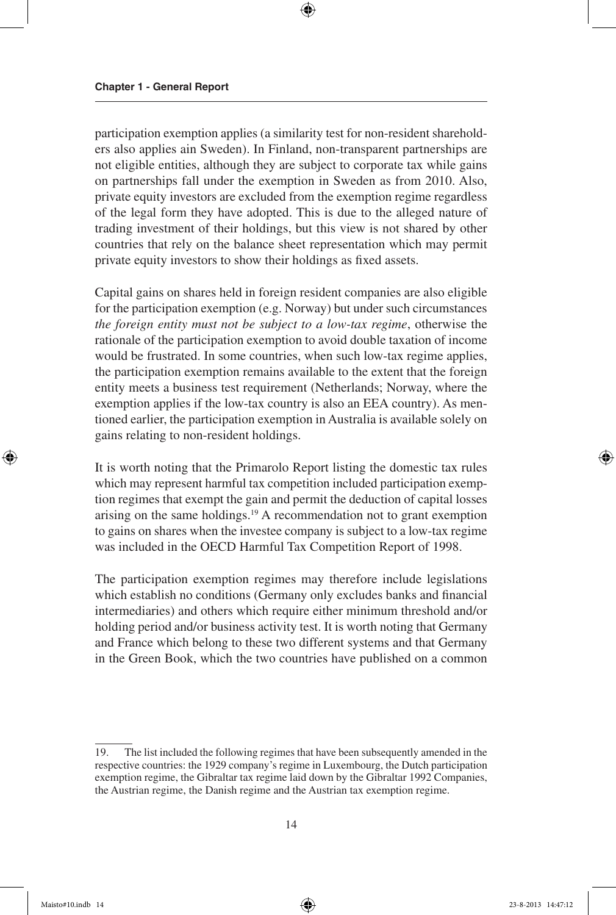participation exemption applies (a similarity test for non-resident shareholders also applies ain Sweden). In Finland, non-transparent partnerships are not eligible entities, although they are subject to corporate tax while gains on partnerships fall under the exemption in Sweden as from 2010. Also, private equity investors are excluded from the exemption regime regardless of the legal form they have adopted. This is due to the alleged nature of trading investment of their holdings, but this view is not shared by other countries that rely on the balance sheet representation which may permit private equity investors to show their holdings as fixed assets.

Capital gains on shares held in foreign resident companies are also eligible for the participation exemption (e.g. Norway) but under such circumstances *the foreign entity must not be subject to a low-tax regime*, otherwise the rationale of the participation exemption to avoid double taxation of income would be frustrated. In some countries, when such low-tax regime applies, the participation exemption remains available to the extent that the foreign entity meets a business test requirement (Netherlands; Norway, where the exemption applies if the low-tax country is also an EEA country). As mentioned earlier, the participation exemption in Australia is available solely on gains relating to non-resident holdings.

It is worth noting that the Primarolo Report listing the domestic tax rules which may represent harmful tax competition included participation exemption regimes that exempt the gain and permit the deduction of capital losses arising on the same holdings.<sup>19</sup> A recommendation not to grant exemption to gains on shares when the investee company is subject to a low-tax regime was included in the OECD Harmful Tax Competition Report of 1998.

The participation exemption regimes may therefore include legislations which establish no conditions (Germany only excludes banks and financial intermediaries) and others which require either minimum threshold and/or holding period and/or business activity test. It is worth noting that Germany and France which belong to these two different systems and that Germany in the Green Book, which the two countries have published on a common

<sup>19.</sup> The list included the following regimes that have been subsequently amended in the respective countries: the 1929 company's regime in Luxembourg, the Dutch participation exemption regime, the Gibraltar tax regime laid down by the Gibraltar 1992 Companies, the Austrian regime, the Danish regime and the Austrian tax exemption regime.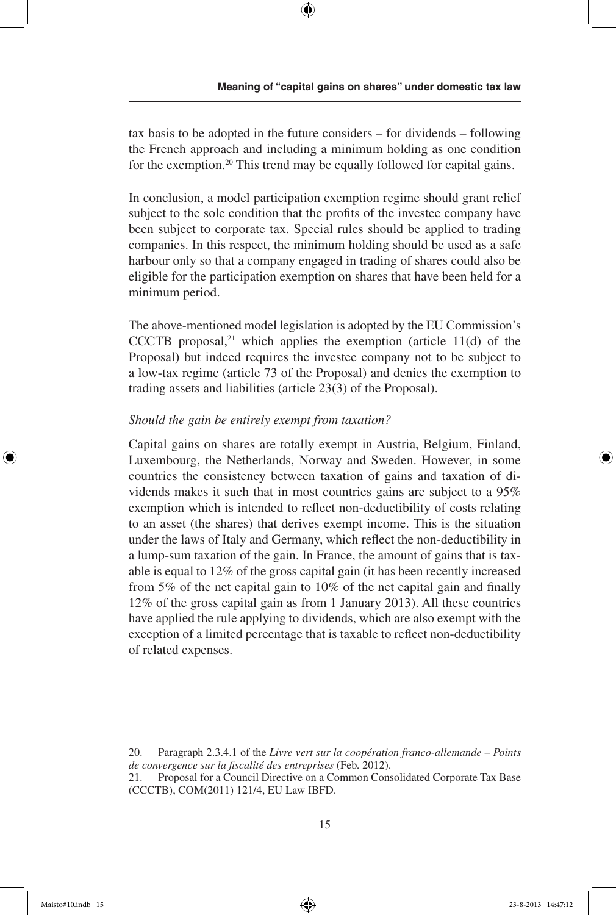tax basis to be adopted in the future considers – for dividends – following the French approach and including a minimum holding as one condition for the exemption.<sup>20</sup> This trend may be equally followed for capital gains.

In conclusion, a model participation exemption regime should grant relief subject to the sole condition that the profits of the investee company have been subject to corporate tax. Special rules should be applied to trading companies. In this respect, the minimum holding should be used as a safe harbour only so that a company engaged in trading of shares could also be eligible for the participation exemption on shares that have been held for a minimum period.

The above-mentioned model legislation is adopted by the EU Commission's CCCTB proposal, $21$  which applies the exemption (article 11(d) of the Proposal) but indeed requires the investee company not to be subject to a low-tax regime (article 73 of the Proposal) and denies the exemption to trading assets and liabilities (article 23(3) of the Proposal).

#### *Should the gain be entirely exempt from taxation?*

Capital gains on shares are totally exempt in Austria, Belgium, Finland, Luxembourg, the Netherlands, Norway and Sweden. However, in some countries the consistency between taxation of gains and taxation of dividends makes it such that in most countries gains are subject to a 95% exemption which is intended to reflect non-deductibility of costs relating to an asset (the shares) that derives exempt income. This is the situation under the laws of Italy and Germany, which reflect the non-deductibility in a lump-sum taxation of the gain. In France, the amount of gains that is taxable is equal to 12% of the gross capital gain (it has been recently increased from 5% of the net capital gain to 10% of the net capital gain and finally 12% of the gross capital gain as from 1 January 2013). All these countries have applied the rule applying to dividends, which are also exempt with the exception of a limited percentage that is taxable to reflect non-deductibility of related expenses.

<sup>20.</sup> Paragraph 2.3.4.1 of the *Livre vert sur la coopération franco-allemande* – *Points de convergence sur la fiscalité des entreprises* (Feb. 2012).

<sup>21.</sup> Proposal for a Council Directive on a Common Consolidated Corporate Tax Base (CCCTB), COM(2011) 121/4, EU Law IBFD.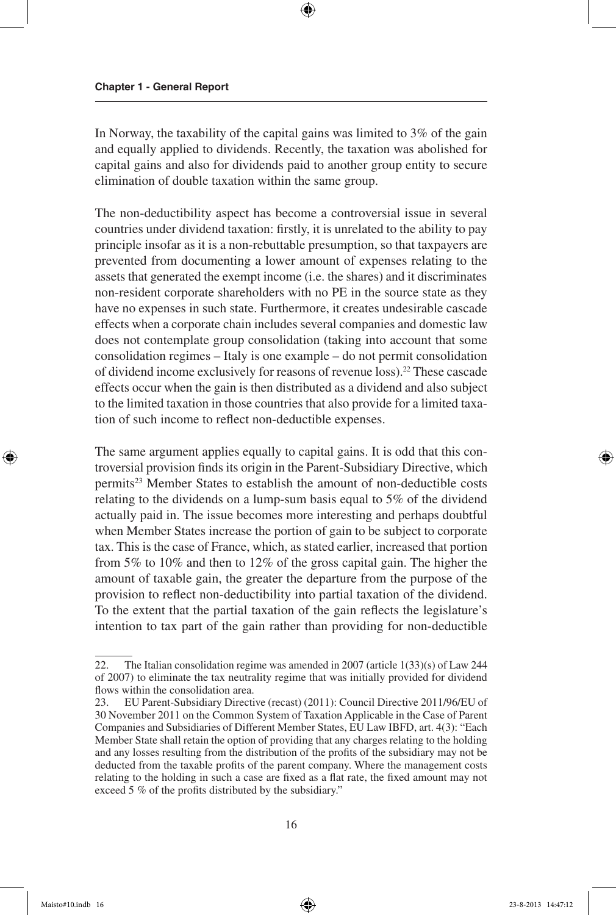In Norway, the taxability of the capital gains was limited to 3% of the gain and equally applied to dividends. Recently, the taxation was abolished for capital gains and also for dividends paid to another group entity to secure elimination of double taxation within the same group.

The non-deductibility aspect has become a controversial issue in several countries under dividend taxation: firstly, it is unrelated to the ability to pay principle insofar as it is a non-rebuttable presumption, so that taxpayers are prevented from documenting a lower amount of expenses relating to the assets that generated the exempt income (i.e. the shares) and it discriminates non-resident corporate shareholders with no PE in the source state as they have no expenses in such state. Furthermore, it creates undesirable cascade effects when a corporate chain includes several companies and domestic law does not contemplate group consolidation (taking into account that some consolidation regimes – Italy is one example – do not permit consolidation of dividend income exclusively for reasons of revenue loss).22 These cascade effects occur when the gain is then distributed as a dividend and also subject to the limited taxation in those countries that also provide for a limited taxation of such income to reflect non-deductible expenses.

The same argument applies equally to capital gains. It is odd that this controversial provision finds its origin in the Parent-Subsidiary Directive, which permits<sup>23</sup> Member States to establish the amount of non-deductible costs relating to the dividends on a lump-sum basis equal to 5% of the dividend actually paid in. The issue becomes more interesting and perhaps doubtful when Member States increase the portion of gain to be subject to corporate tax. This is the case of France, which, as stated earlier, increased that portion from 5% to 10% and then to 12% of the gross capital gain. The higher the amount of taxable gain, the greater the departure from the purpose of the provision to reflect non-deductibility into partial taxation of the dividend. To the extent that the partial taxation of the gain reflects the legislature's intention to tax part of the gain rather than providing for non-deductible

<sup>22.</sup> The Italian consolidation regime was amended in 2007 (article 1(33)(s) of Law 244 of 2007) to eliminate the tax neutrality regime that was initially provided for dividend flows within the consolidation area.

<sup>23.</sup> EU Parent-Subsidiary Directive (recast) (2011): Council Directive 2011/96/EU of 30 November 2011 on the Common System of Taxation Applicable in the Case of Parent Companies and Subsidiaries of Different Member States, EU Law IBFD, art. 4(3): "Each Member State shall retain the option of providing that any charges relating to the holding and any losses resulting from the distribution of the profits of the subsidiary may not be deducted from the taxable profits of the parent company. Where the management costs relating to the holding in such a case are fixed as a flat rate, the fixed amount may not exceed 5 % of the profits distributed by the subsidiary."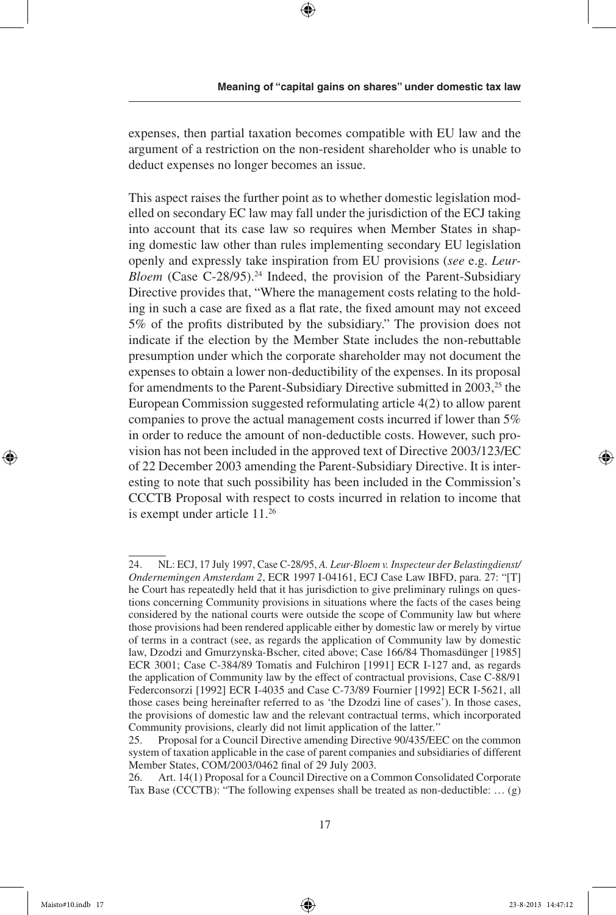expenses, then partial taxation becomes compatible with EU law and the argument of a restriction on the non-resident shareholder who is unable to deduct expenses no longer becomes an issue.

This aspect raises the further point as to whether domestic legislation modelled on secondary EC law may fall under the jurisdiction of the ECJ taking into account that its case law so requires when Member States in shaping domestic law other than rules implementing secondary EU legislation openly and expressly take inspiration from EU provisions (*see* e.g. *Leur-Bloem* (Case C-28/95).<sup>24</sup> Indeed, the provision of the Parent-Subsidiary Directive provides that, "Where the management costs relating to the holding in such a case are fixed as a flat rate, the fixed amount may not exceed 5% of the profits distributed by the subsidiary." The provision does not indicate if the election by the Member State includes the non-rebuttable presumption under which the corporate shareholder may not document the expenses to obtain a lower non-deductibility of the expenses. In its proposal for amendments to the Parent-Subsidiary Directive submitted in 2003,<sup>25</sup> the European Commission suggested reformulating article 4(2) to allow parent companies to prove the actual management costs incurred if lower than 5% in order to reduce the amount of non-deductible costs. However, such provision has not been included in the approved text of Directive 2003/123/EC of 22 December 2003 amending the Parent-Subsidiary Directive. It is interesting to note that such possibility has been included in the Commission's CCCTB Proposal with respect to costs incurred in relation to income that is exempt under article 11.26

<sup>24.</sup> NL: ECJ, 17 July 1997, Case C-28/95, *A. Leur-Bloem v. Inspecteur der Belastingdienst/ Ondernemingen Amsterdam 2*, ECR 1997 I-04161, ECJ Case Law IBFD, para. 27: "[T] he Court has repeatedly held that it has jurisdiction to give preliminary rulings on questions concerning Community provisions in situations where the facts of the cases being considered by the national courts were outside the scope of Community law but where those provisions had been rendered applicable either by domestic law or merely by virtue of terms in a contract (see, as regards the application of Community law by domestic law, Dzodzi and Gmurzynska-Bscher, cited above; Case 166/84 Thomasdünger [1985] ECR 3001; Case C-384/89 Tomatis and Fulchiron [1991] ECR I-127 and, as regards the application of Community law by the effect of contractual provisions, Case C-88/91 Federconsorzi [1992] ECR I-4035 and Case C-73/89 Fournier [1992] ECR I-5621, all those cases being hereinafter referred to as 'the Dzodzi line of cases'). In those cases, the provisions of domestic law and the relevant contractual terms, which incorporated Community provisions, clearly did not limit application of the latter*.*"

<sup>25.</sup> Proposal for a Council Directive amending Directive 90/435/EEC on the common system of taxation applicable in the case of parent companies and subsidiaries of different Member States, COM/2003/0462 final of 29 July 2003.

Art. 14(1) Proposal for a Council Directive on a Common Consolidated Corporate Tax Base (CCCTB): "The following expenses shall be treated as non-deductible: … (g)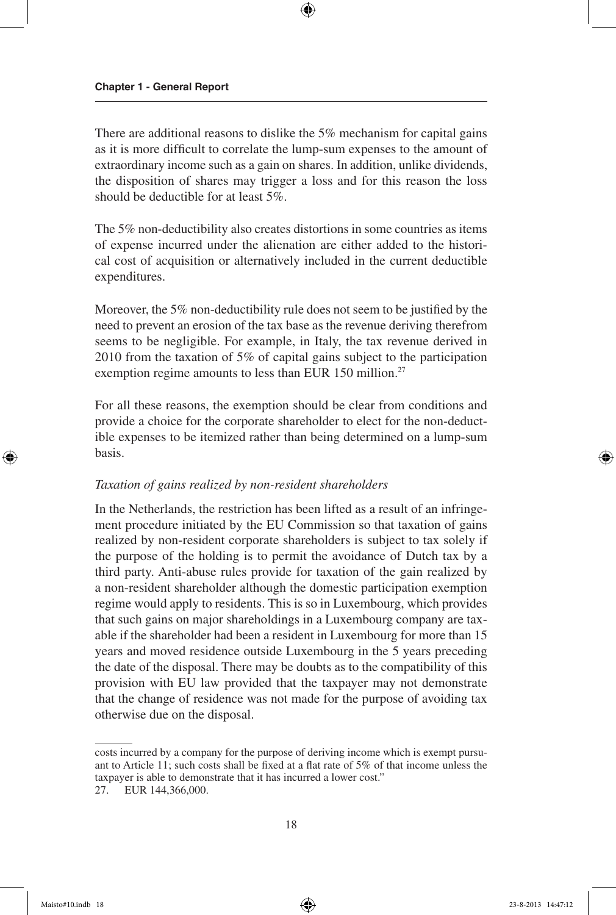There are additional reasons to dislike the 5% mechanism for capital gains as it is more difficult to correlate the lump-sum expenses to the amount of extraordinary income such as a gain on shares. In addition, unlike dividends, the disposition of shares may trigger a loss and for this reason the loss should be deductible for at least 5%.

The 5% non-deductibility also creates distortions in some countries as items of expense incurred under the alienation are either added to the historical cost of acquisition or alternatively included in the current deductible expenditures.

Moreover, the 5% non-deductibility rule does not seem to be justified by the need to prevent an erosion of the tax base as the revenue deriving therefrom seems to be negligible. For example, in Italy, the tax revenue derived in 2010 from the taxation of 5% of capital gains subject to the participation exemption regime amounts to less than EUR 150 million.<sup>27</sup>

For all these reasons, the exemption should be clear from conditions and provide a choice for the corporate shareholder to elect for the non-deductible expenses to be itemized rather than being determined on a lump-sum basis.

#### *Taxation of gains realized by non-resident shareholders*

In the Netherlands, the restriction has been lifted as a result of an infringement procedure initiated by the EU Commission so that taxation of gains realized by non-resident corporate shareholders is subject to tax solely if the purpose of the holding is to permit the avoidance of Dutch tax by a third party. Anti-abuse rules provide for taxation of the gain realized by a non-resident shareholder although the domestic participation exemption regime would apply to residents. This is so in Luxembourg, which provides that such gains on major shareholdings in a Luxembourg company are taxable if the shareholder had been a resident in Luxembourg for more than 15 years and moved residence outside Luxembourg in the 5 years preceding the date of the disposal. There may be doubts as to the compatibility of this provision with EU law provided that the taxpayer may not demonstrate that the change of residence was not made for the purpose of avoiding tax otherwise due on the disposal.

costs incurred by a company for the purpose of deriving income which is exempt pursuant to Article 11; such costs shall be fixed at a flat rate of 5% of that income unless the taxpayer is able to demonstrate that it has incurred a lower cost."

<sup>27.</sup> EUR 144,366,000.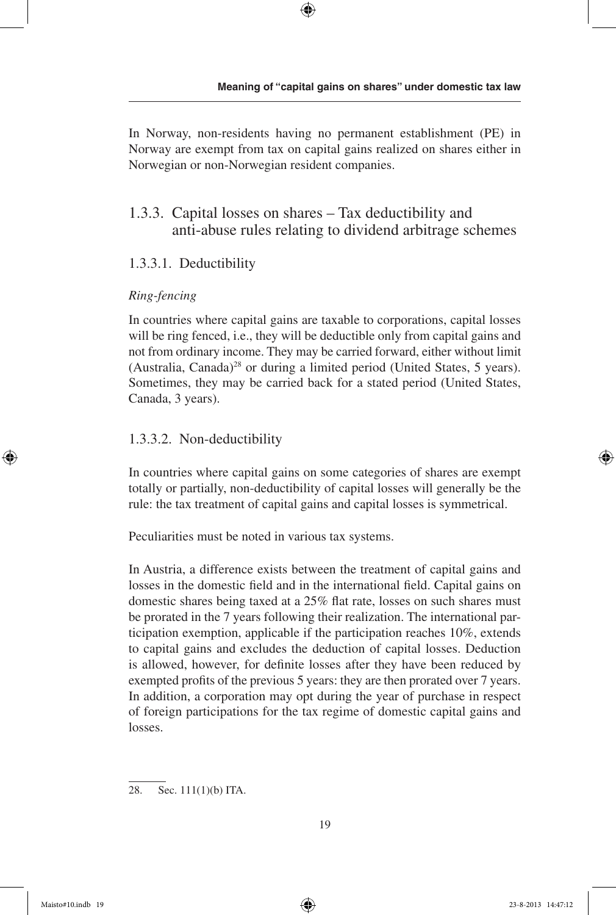In Norway, non-residents having no permanent establishment (PE) in Norway are exempt from tax on capital gains realized on shares either in Norwegian or non-Norwegian resident companies.

## 1.3.3. Capital losses on shares – Tax deductibility and anti-abuse rules relating to dividend arbitrage schemes

## 1.3.3.1. Deductibility

### *Ring-fencing*

In countries where capital gains are taxable to corporations, capital losses will be ring fenced, i.e., they will be deductible only from capital gains and not from ordinary income. They may be carried forward, either without limit (Australia, Canada)<sup>28</sup> or during a limited period (United States, 5 years). Sometimes, they may be carried back for a stated period (United States, Canada, 3 years).

## 1.3.3.2. Non-deductibility

In countries where capital gains on some categories of shares are exempt totally or partially, non-deductibility of capital losses will generally be the rule: the tax treatment of capital gains and capital losses is symmetrical.

Peculiarities must be noted in various tax systems.

In Austria, a difference exists between the treatment of capital gains and losses in the domestic field and in the international field. Capital gains on domestic shares being taxed at a 25% flat rate, losses on such shares must be prorated in the 7 years following their realization. The international participation exemption, applicable if the participation reaches 10%, extends to capital gains and excludes the deduction of capital losses. Deduction is allowed, however, for definite losses after they have been reduced by exempted profits of the previous 5 years: they are then prorated over 7 years. In addition, a corporation may opt during the year of purchase in respect of foreign participations for the tax regime of domestic capital gains and losses.

28. Sec. 111(1)(b) ITA.